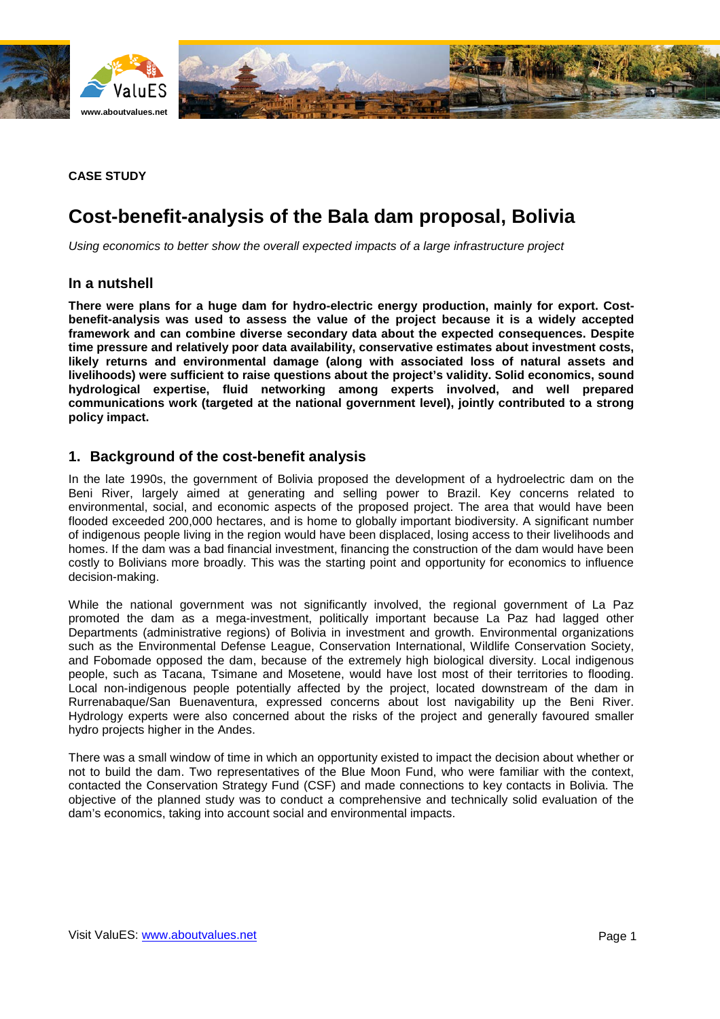



#### **CASE STUDY**

# **Cost-benefit-analysis of the Bala dam proposal, Bolivia**

*Using economics to better show the overall expected impacts of a large infrastructure project*

### **In a nutshell**

**There were plans for a huge dam for hydro-electric energy production, mainly for export. Costbenefit-analysis was used to assess the value of the project because it is a widely accepted framework and can combine diverse secondary data about the expected consequences. Despite time pressure and relatively poor data availability, conservative estimates about investment costs, likely returns and environmental damage (along with associated loss of natural assets and livelihoods) were sufficient to raise questions about the project's validity. Solid economics, sound hydrological expertise, fluid networking among experts involved, and well prepared communications work (targeted at the national government level), jointly contributed to a strong policy impact.**

### **1. Background of the cost-benefit analysis**

In the late 1990s, the government of Bolivia proposed the development of a hydroelectric dam on the Beni River, largely aimed at generating and selling power to Brazil. Key concerns related to environmental, social, and economic aspects of the proposed project. The area that would have been flooded exceeded 200,000 hectares, and is home to globally important biodiversity. A significant number of indigenous people living in the region would have been displaced, losing access to their livelihoods and homes. If the dam was a bad financial investment, financing the construction of the dam would have been costly to Bolivians more broadly. This was the starting point and opportunity for economics to influence decision-making.

While the national government was not significantly involved, the regional government of La Paz promoted the dam as a mega-investment, politically important because La Paz had lagged other Departments (administrative regions) of Bolivia in investment and growth. Environmental organizations such as the Environmental Defense League, Conservation International, Wildlife Conservation Society, and Fobomade opposed the dam, because of the extremely high biological diversity. Local indigenous people, such as Tacana, Tsimane and Mosetene, would have lost most of their territories to flooding. Local non-indigenous people potentially affected by the project, located downstream of the dam in Rurrenabaque/San Buenaventura, expressed concerns about lost navigability up the Beni River. Hydrology experts were also concerned about the risks of the project and generally favoured smaller hydro projects higher in the Andes.

There was a small window of time in which an opportunity existed to impact the decision about whether or not to build the dam. Two representatives of the Blue Moon Fund, who were familiar with the context, contacted the Conservation Strategy Fund (CSF) and made connections to key contacts in Bolivia. The objective of the planned study was to conduct a comprehensive and technically solid evaluation of the dam's economics, taking into account social and environmental impacts.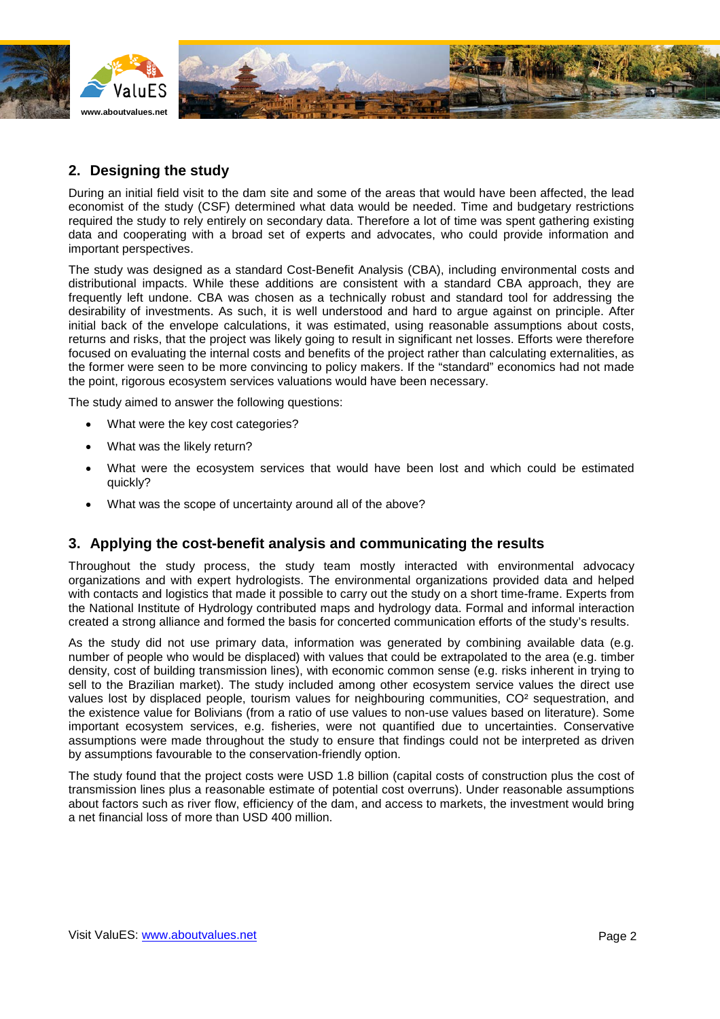

## **2. Designing the study**

During an initial field visit to the dam site and some of the areas that would have been affected, the lead economist of the study (CSF) determined what data would be needed. Time and budgetary restrictions required the study to rely entirely on secondary data. Therefore a lot of time was spent gathering existing data and cooperating with a broad set of experts and advocates, who could provide information and important perspectives.

The study was designed as a standard Cost-Benefit Analysis (CBA), including environmental costs and distributional impacts. While these additions are consistent with a standard CBA approach, they are frequently left undone. CBA was chosen as a technically robust and standard tool for addressing the desirability of investments. As such, it is well understood and hard to argue against on principle. After initial back of the envelope calculations, it was estimated, using reasonable assumptions about costs, returns and risks, that the project was likely going to result in significant net losses. Efforts were therefore focused on evaluating the internal costs and benefits of the project rather than calculating externalities, as the former were seen to be more convincing to policy makers. If the "standard" economics had not made the point, rigorous ecosystem services valuations would have been necessary.

The study aimed to answer the following questions:

- What were the key cost categories?
- What was the likely return?
- What were the ecosystem services that would have been lost and which could be estimated quickly?
- What was the scope of uncertainty around all of the above?

### **3. Applying the cost-benefit analysis and communicating the results**

Throughout the study process, the study team mostly interacted with environmental advocacy organizations and with expert hydrologists. The environmental organizations provided data and helped with contacts and logistics that made it possible to carry out the study on a short time-frame. Experts from the National Institute of Hydrology contributed maps and hydrology data. Formal and informal interaction created a strong alliance and formed the basis for concerted communication efforts of the study's results.

As the study did not use primary data, information was generated by combining available data (e.g. number of people who would be displaced) with values that could be extrapolated to the area (e.g. timber density, cost of building transmission lines), with economic common sense (e.g. risks inherent in trying to sell to the Brazilian market). The study included among other ecosystem service values the direct use values lost by displaced people, tourism values for neighbouring communities, CO² sequestration, and the existence value for Bolivians (from a ratio of use values to non-use values based on literature). Some important ecosystem services, e.g. fisheries, were not quantified due to uncertainties. Conservative assumptions were made throughout the study to ensure that findings could not be interpreted as driven by assumptions favourable to the conservation-friendly option.

The study found that the project costs were USD 1.8 billion (capital costs of construction plus the cost of transmission lines plus a reasonable estimate of potential cost overruns). Under reasonable assumptions about factors such as river flow, efficiency of the dam, and access to markets, the investment would bring a net financial loss of more than USD 400 million.